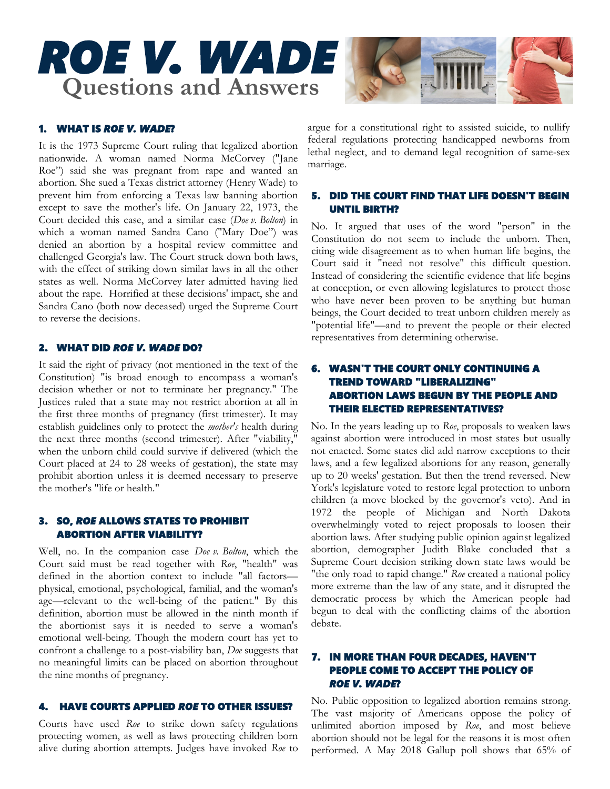# *ROE V. WADE*  **Questions and Answers**



# 1. WHAT IS *ROE V. WADE*?

It is the 1973 Supreme Court ruling that legalized abortion nationwide. A woman named Norma McCorvey ("Jane Roe") said she was pregnant from rape and wanted an abortion. She sued a Texas district attorney (Henry Wade) to prevent him from enforcing a Texas law banning abortion except to save the mother's life. On January 22, 1973, the Court decided this case, and a similar case (*Doe v. Bolton*) in which a woman named Sandra Cano ("Mary Doe") was denied an abortion by a hospital review committee and challenged Georgia's law. The Court struck down both laws, with the effect of striking down similar laws in all the other states as well. Norma McCorvey later admitted having lied about the rape. Horrified at these decisions' impact, she and Sandra Cano (both now deceased) urged the Supreme Court to reverse the decisions.

## 2. WHAT DID *ROE V. WADE* DO?

It said the right of privacy (not mentioned in the text of the Constitution) "is broad enough to encompass a woman's decision whether or not to terminate her pregnancy." The Justices ruled that a state may not restrict abortion at all in the first three months of pregnancy (first trimester). It may establish guidelines only to protect the *mother's* health during the next three months (second trimester). After "viability," when the unborn child could survive if delivered (which the Court placed at 24 to 28 weeks of gestation), the state may prohibit abortion unless it is deemed necessary to preserve the mother's "life or health."

# 3. SO, *ROE* ALLOWS STATES TO PROHIBIT ABORTION AFTER VIABILITY?

Well, no. In the companion case *Doe v. Bolton*, which the Court said must be read together with *Roe*, "health" was defined in the abortion context to include "all factors physical, emotional, psychological, familial, and the woman's age—relevant to the well-being of the patient." By this definition, abortion must be allowed in the ninth month if the abortionist says it is needed to serve a woman's emotional well-being. Though the modern court has yet to confront a challenge to a post-viability ban, *Doe* suggests that no meaningful limits can be placed on abortion throughout the nine months of pregnancy.

## 4. HAVE COURTS APPLIED *ROE* TO OTHER ISSUES?

Courts have used *Roe* to strike down safety regulations protecting women, as well as laws protecting children born alive during abortion attempts. Judges have invoked *Roe* to argue for a constitutional right to assisted suicide, to nullify federal regulations protecting handicapped newborns from lethal neglect, and to demand legal recognition of same-sex marriage.

## 5. DID THE COURT FIND THAT LIFE DOESN'T BEGIN UNTIL BIRTH?

No. It argued that uses of the word "person" in the Constitution do not seem to include the unborn. Then, citing wide disagreement as to when human life begins, the Court said it "need not resolve" this difficult question. Instead of considering the scientific evidence that life begins at conception, or even allowing legislatures to protect those who have never been proven to be anything but human beings, the Court decided to treat unborn children merely as "potential life"—and to prevent the people or their elected representatives from determining otherwise.

# 6. WASN'T THE COURT ONLY CONTINUING A TREND TOWARD "LIBERALIZING" ABORTION LAWS BEGUN BY THE PEOPLE AND THEIR ELECTED REPRESENTATIVES?

No. In the years leading up to *Roe*, proposals to weaken laws against abortion were introduced in most states but usually not enacted. Some states did add narrow exceptions to their laws, and a few legalized abortions for any reason, generally up to 20 weeks' gestation. But then the trend reversed. New York's legislature voted to restore legal protection to unborn children (a move blocked by the governor's veto). And in 1972 the people of Michigan and North Dakota overwhelmingly voted to reject proposals to loosen their abortion laws. After studying public opinion against legalized abortion, demographer Judith Blake concluded that a Supreme Court decision striking down state laws would be "the only road to rapid change." *Roe* created a national policy more extreme than the law of any state, and it disrupted the democratic process by which the American people had begun to deal with the conflicting claims of the abortion debate.

## 7. IN MORE THAN FOUR DECADES, HAVEN'T PEOPLE COME TO ACCEPT THE POLICY OF *ROE V. WADE*?

No. Public opposition to legalized abortion remains strong. The vast majority of Americans oppose the policy of unlimited abortion imposed by *Roe*, and most believe abortion should not be legal for the reasons it is most often performed. A May 2018 Gallup poll shows that 65% of